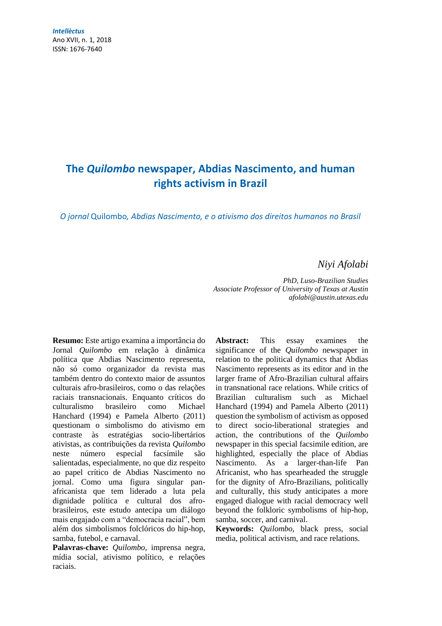*Intellèctus* Ano XVII, n. 1, 2018 ISSN: 1676-7640

# **The** *Quilombo* **newspaper, Abdias Nascimento, and human rights activism in Brazil**

*O jornal* Quilombo*, Abdias Nascimento, e o ativismo dos direitos humanos no Brasil*

## *Niyi Afolabi*

*PhD, Luso-Brazilian Studies Associate Professor of University of Texas at Austin [afolabi@austin.utexas.edu](mailto:afolabi@austin.utexas.edu)*

**Resumo:** Este artigo examina a importância do Jornal *Quilombo* em relação à dinâmica política que Abdias Nascimento representa, não só como organizador da revista mas também dentro do contexto maior de assuntos culturais afro-brasileiros, como o das relações raciais transnacionais. Enquanto críticos do culturalismo brasileiro como Michael Hanchard (1994) e Pamela Alberto (2011) questionam o simbolismo do ativismo em contraste às estratégias socio-libertários ativistas, as contribuições da revista *Quilombo* neste número especial facsímile são salientadas, especialmente, no que diz respeito ao papel crítico de Abdias Nascimento no jornal. Como uma figura singular panafricanista que tem liderado a luta pela dignidade política e cultural dos afrobrasileiros, este estudo antecipa um diálogo mais engajado com a "democracia racial", bem além dos simbolismos folclóricos do hip-hop, samba, futebol, e carnaval.

**Palavras-chave:** *Quilombo*, imprensa negra, mídia social, ativismo político, e relações raciais.

**Abstract:** This essay examines the significance of the *Quilombo* newspaper in relation to the political dynamics that Abdias Nascimento represents as its editor and in the larger frame of Afro-Brazilian cultural affairs in transnational race relations. While critics of Brazilian culturalism such as Michael Hanchard (1994) and Pamela Alberto (2011) question the symbolism of activism as opposed to direct socio-liberational strategies and action, the contributions of the *Quilombo* newspaper in this special facsimile edition, are highlighted, especially the place of Abdias Nascimento. As a larger-than-life Pan Africanist, who has spearheaded the struggle for the dignity of Afro-Brazilians, politically and culturally, this study anticipates a more engaged dialogue with racial democracy well beyond the folkloric symbolisms of hip-hop, samba, soccer, and carnival.

**Keywords:** *Quilombo*, black press, social media, political activism, and race relations.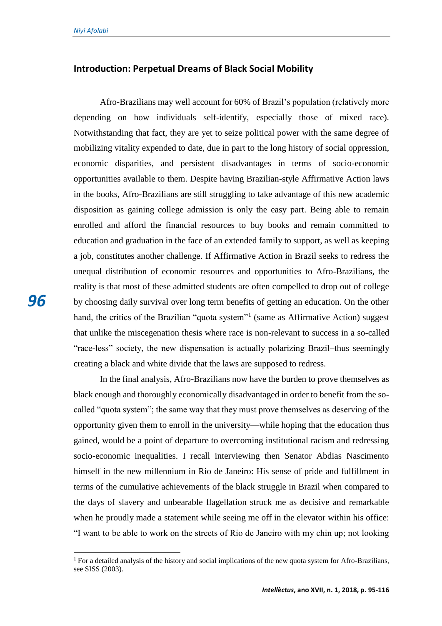#### **Introduction: Perpetual Dreams of Black Social Mobility**

Afro-Brazilians may well account for 60% of Brazil's population (relatively more depending on how individuals self-identify, especially those of mixed race). Notwithstanding that fact, they are yet to seize political power with the same degree of mobilizing vitality expended to date, due in part to the long history of social oppression, economic disparities, and persistent disadvantages in terms of socio-economic opportunities available to them. Despite having Brazilian-style Affirmative Action laws in the books, Afro-Brazilians are still struggling to take advantage of this new academic disposition as gaining college admission is only the easy part. Being able to remain enrolled and afford the financial resources to buy books and remain committed to education and graduation in the face of an extended family to support, as well as keeping a job, constitutes another challenge. If Affirmative Action in Brazil seeks to redress the unequal distribution of economic resources and opportunities to Afro-Brazilians, the reality is that most of these admitted students are often compelled to drop out of college by choosing daily survival over long term benefits of getting an education. On the other hand, the critics of the Brazilian "quota system"<sup>1</sup> (same as Affirmative Action) suggest that unlike the miscegenation thesis where race is non-relevant to success in a so-called "race-less" society, the new dispensation is actually polarizing Brazil–thus seemingly creating a black and white divide that the laws are supposed to redress.

In the final analysis, Afro-Brazilians now have the burden to prove themselves as black enough and thoroughly economically disadvantaged in order to benefit from the socalled "quota system"; the same way that they must prove themselves as deserving of the opportunity given them to enroll in the university—while hoping that the education thus gained, would be a point of departure to overcoming institutional racism and redressing socio-economic inequalities. I recall interviewing then Senator Abdias Nascimento himself in the new millennium in Rio de Janeiro: His sense of pride and fulfillment in terms of the cumulative achievements of the black struggle in Brazil when compared to the days of slavery and unbearable flagellation struck me as decisive and remarkable when he proudly made a statement while seeing me off in the elevator within his office: "I want to be able to work on the streets of Rio de Janeiro with my chin up; not looking

<sup>&</sup>lt;sup>1</sup> For a detailed analysis of the history and social implications of the new quota system for Afro-Brazilians, see SISS (2003).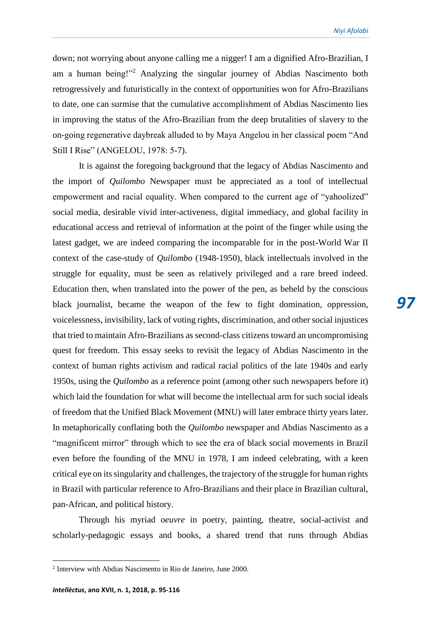down; not worrying about anyone calling me a nigger! I am a dignified Afro-Brazilian, I am a human being!"<sup>2</sup> Analyzing the singular journey of Abdias Nascimento both retrogressively and futuristically in the context of opportunities won for Afro-Brazilians to date, one can surmise that the cumulative accomplishment of Abdias Nascimento lies in improving the status of the Afro-Brazilian from the deep brutalities of slavery to the on-going regenerative daybreak alluded to by Maya Angelou in her classical poem "And Still I Rise" (ANGELOU, 1978: 5-7).

It is against the foregoing background that the legacy of Abdias Nascimento and the import of *Quilombo* Newspaper must be appreciated as a tool of intellectual empowerment and racial equality. When compared to the current age of "yahoolized" social media, desirable vivid inter-activeness, digital immediacy, and global facility in educational access and retrieval of information at the point of the finger while using the latest gadget, we are indeed comparing the incomparable for in the post-World War II context of the case-study of *Quilombo* (1948-1950), black intellectuals involved in the struggle for equality, must be seen as relatively privileged and a rare breed indeed. Education then, when translated into the power of the pen, as beheld by the conscious black journalist, became the weapon of the few to fight domination, oppression, voicelessness, invisibility, lack of voting rights, discrimination, and other social injustices that tried to maintain Afro-Brazilians as second-class citizens toward an uncompromising quest for freedom. This essay seeks to revisit the legacy of Abdias Nascimento in the context of human rights activism and radical racial politics of the late 1940s and early 1950s, using the *Quilombo* as a reference point (among other such newspapers before it) which laid the foundation for what will become the intellectual arm for such social ideals of freedom that the Unified Black Movement (MNU) will later embrace thirty years later. In metaphorically conflating both the *Quilombo* newspaper and Abdias Nascimento as a "magnificent mirror" through which to see the era of black social movements in Brazil even before the founding of the MNU in 1978, I am indeed celebrating, with a keen critical eye on its singularity and challenges, the trajectory of the struggle for human rights in Brazil with particular reference to Afro-Brazilians and their place in Brazilian cultural, pan-African, and political history.

Through his myriad *oeuvre* in poetry, painting, theatre, social-activist and scholarly-pedagogic essays and books, a shared trend that runs through Abdias

<sup>2</sup> Interview with Abdias Nascimento in Rio de Janeiro, June 2000.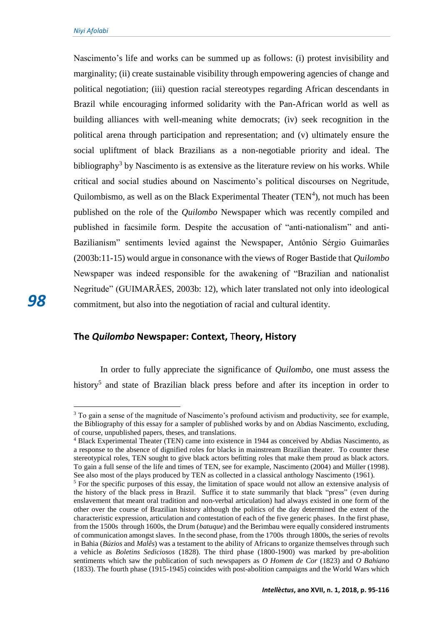Nascimento's life and works can be summed up as follows: (i) protest invisibility and marginality; (ii) create sustainable visibility through empowering agencies of change and political negotiation; (iii) question racial stereotypes regarding African descendants in Brazil while encouraging informed solidarity with the Pan-African world as well as building alliances with well-meaning white democrats; (iv) seek recognition in the political arena through participation and representation; and (v) ultimately ensure the social upliftment of black Brazilians as a non-negotiable priority and ideal. The bibliography<sup>3</sup> by Nascimento is as extensive as the literature review on his works. While critical and social studies abound on Nascimento's political discourses on Negritude, Quilombismo, as well as on the Black Experimental Theater  $(TEN<sup>4</sup>)$ , not much has been published on the role of the *Quilombo* Newspaper which was recently compiled and published in facsimile form. Despite the accusation of "anti-nationalism" and anti-Bazilianism" sentiments levied against the Newspaper, Antônio Sérgio Guimarães (2003b:11-15) would argue in consonance with the views of Roger Bastide that *Quilombo* Newspaper was indeed responsible for the awakening of "Brazilian and nationalist Negritude" (GUIMARÃES, 2003b: 12), which later translated not only into ideological commitment, but also into the negotiation of racial and cultural identity.

### **The** *Quilombo* **Newspaper: Context,** T**heory, History**

In order to fully appreciate the significance of *Quilombo*, one must assess the history<sup>5</sup> and state of Brazilian black press before and after its inception in order to

 $\overline{a}$ 

*98*

<sup>3</sup> To gain a sense of the magnitude of Nascimento's profound activism and productivity, see for example, the Bibliography of this essay for a sampler of published works by and on Abdias Nascimento, excluding, of course, unpublished papers, theses, and translations.

<sup>4</sup> Black Experimental Theater (TEN) came into existence in 1944 as conceived by Abdias Nascimento, as a response to the absence of dignified roles for blacks in mainstream Brazilian theater. To counter these stereotypical roles, TEN sought to give black actors befitting roles that make them proud as black actors. To gain a full sense of the life and times of TEN, see for example, Nascimento (2004) and Müller (1998). See also most of the plays produced by TEN as collected in a classical anthology Nascimento (1961).

<sup>&</sup>lt;sup>5</sup> For the specific purposes of this essay, the limitation of space would not allow an extensive analysis of the history of the black press in Brazil. Suffice it to state summarily that black "press" (even during enslavement that meant oral tradition and non-verbal articulation) had always existed in one form of the other over the course of Brazilian history although the politics of the day determined the extent of the characteristic expression, articulation and contestation of each of the five generic phases. In the first phase, from the 1500s through 1600s, the Drum (*batuque*) and the Berimbau were equally considered instruments of communication amongst slaves. In the second phase, from the 1700s through 1800s, the series of revolts in Bahia (*Búzios* and *Malês*) was a testament to the ability of Africans to organize themselves through such a vehicle as *Boletins Sediciosos* (1828). The third phase (1800-1900) was marked by pre-abolition sentiments which saw the publication of such newspapers as *O Homem de Cor* (1823) and *O Bahiano* (1833). The fourth phase (1915-1945) coincides with post-abolition campaigns and the World Wars which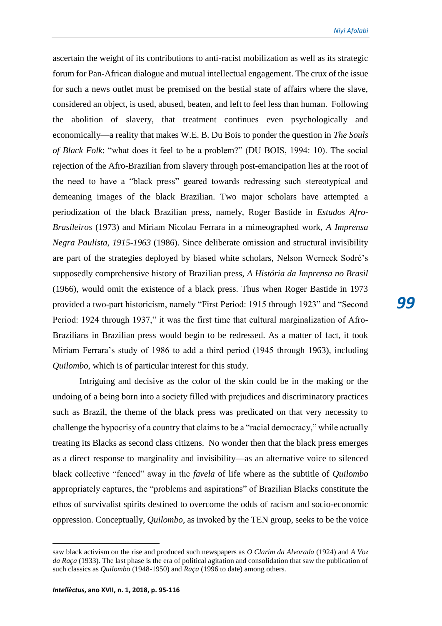ascertain the weight of its contributions to anti-racist mobilization as well as its strategic forum for Pan-African dialogue and mutual intellectual engagement. The crux of the issue for such a news outlet must be premised on the bestial state of affairs where the slave, considered an object, is used, abused, beaten, and left to feel less than human. Following the abolition of slavery, that treatment continues even psychologically and economically—a reality that makes W.E. B. Du Bois to ponder the question in *The Souls of Black Folk*: "what does it feel to be a problem?" (DU BOIS, 1994: 10). The social rejection of the Afro-Brazilian from slavery through post-emancipation lies at the root of the need to have a "black press" geared towards redressing such stereotypical and demeaning images of the black Brazilian. Two major scholars have attempted a periodization of the black Brazilian press, namely, Roger Bastide in *Estudos Afro-Brasileiros* (1973) and Miriam Nicolau Ferrara in a mimeographed work, *A Imprensa Negra Paulista, 1915-1963* (1986). Since deliberate omission and structural invisibility are part of the strategies deployed by biased white scholars, Nelson Werneck Sodré's supposedly comprehensive history of Brazilian press, *A História da Imprensa no Brasil* (1966), would omit the existence of a black press. Thus when Roger Bastide in 1973 provided a two-part historicism, namely "First Period: 1915 through 1923" and "Second Period: 1924 through 1937," it was the first time that cultural marginalization of Afro-Brazilians in Brazilian press would begin to be redressed. As a matter of fact, it took Miriam Ferrara's study of 1986 to add a third period (1945 through 1963), including *Quilombo*, which is of particular interest for this study.

Intriguing and decisive as the color of the skin could be in the making or the undoing of a being born into a society filled with prejudices and discriminatory practices such as Brazil, the theme of the black press was predicated on that very necessity to challenge the hypocrisy of a country that claims to be a "racial democracy," while actually treating its Blacks as second class citizens. No wonder then that the black press emerges as a direct response to marginality and invisibility—as an alternative voice to silenced black collective "fenced" away in the *favela* of life where as the subtitle of *Quilombo* appropriately captures, the "problems and aspirations" of Brazilian Blacks constitute the ethos of survivalist spirits destined to overcome the odds of racism and socio-economic oppression. Conceptually, *Quilombo*, as invoked by the TEN group, seeks to be the voice

saw black activism on the rise and produced such newspapers as *O Clarim da Alvorada* (1924) and *A Voz da Raça* (1933). The last phase is the era of political agitation and consolidation that saw the publication of such classics as *Quilombo* (1948-1950) and *Raça* (1996 to date) among others.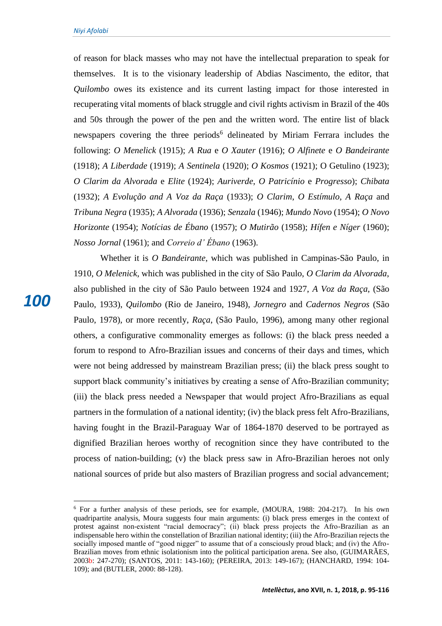of reason for black masses who may not have the intellectual preparation to speak for themselves. It is to the visionary leadership of Abdias Nascimento, the editor, that *Quilombo* owes its existence and its current lasting impact for those interested in recuperating vital moments of black struggle and civil rights activism in Brazil of the 40s and 50s through the power of the pen and the written word. The entire list of black newspapers covering the three periods<sup>6</sup> delineated by Miriam Ferrara includes the following: *O Menelick* (1915); *A Rua* e *O Xauter* (1916); *O Alfinete* e *O Bandeirante* (1918); *A Liberdade* (1919); *A Sentinela* (1920); *O Kosmos* (1921); O Getulino (1923); *O Clarim da Alvorada* e *Elite* (1924); *Auriverde*, *O Patricínio* e *Progresso*); *Chibata* (1932); *A Evolução and A Voz da Raça* (1933); *O Clarim*, *O Estímulo*, *A Raça* and *Tribuna Negra* (1935); *A Alvorada* (1936); *Senzala* (1946); *Mundo Novo* (1954); *O Novo Horizonte* (1954); *Notícias de Ébano* (1957); *O Mutirão* (1958); *Hífen e Níger* (1960); *Nosso Jornal* (1961); and *Correio d' Ébano* (1963).

Whether it is *O Bandeirante*, which was published in Campinas-São Paulo, in 1910, *O Melenick*, which was published in the city of São Paulo, *O Clarim da Alvorada*, also published in the city of São Paulo between 1924 and 1927, *A Voz da Raça*, (São Paulo, 1933), *Quilombo* (Rio de Janeiro, 1948), *Jornegro* and *Cadernos Negros* (São Paulo, 1978), or more recently, *Raça*, (São Paulo, 1996), among many other regional others, a configurative commonality emerges as follows: (i) the black press needed a forum to respond to Afro-Brazilian issues and concerns of their days and times, which were not being addressed by mainstream Brazilian press; (ii) the black press sought to support black community's initiatives by creating a sense of Afro-Brazilian community; (iii) the black press needed a Newspaper that would project Afro-Brazilians as equal partners in the formulation of a national identity; (iv) the black press felt Afro-Brazilians, having fought in the Brazil-Paraguay War of 1864-1870 deserved to be portrayed as dignified Brazilian heroes worthy of recognition since they have contributed to the process of nation-building; (v) the black press saw in Afro-Brazilian heroes not only national sources of pride but also masters of Brazilian progress and social advancement;

 $6$  For a further analysis of these periods, see for example, (MOURA, 1988: 204-217). In his own quadripartite analysis, Moura suggests four main arguments: (i) black press emerges in the context of protest against non-existent "racial democracy"; (ii) black press projects the Afro-Brazilian as an indispensable hero within the constellation of Brazilian national identity; (iii) the Afro-Brazilian rejects the socially imposed mantle of "good nigger" to assume that of a consciously proud black; and (iv) the Afro-Brazilian moves from ethnic isolationism into the political participation arena. See also, (GUIMARÃES, 2003b: 247-270); (SANTOS, 2011: 143-160); (PEREIRA, 2013: 149-167); (HANCHARD, 1994: 104- 109); and (BUTLER, 2000: 88-128).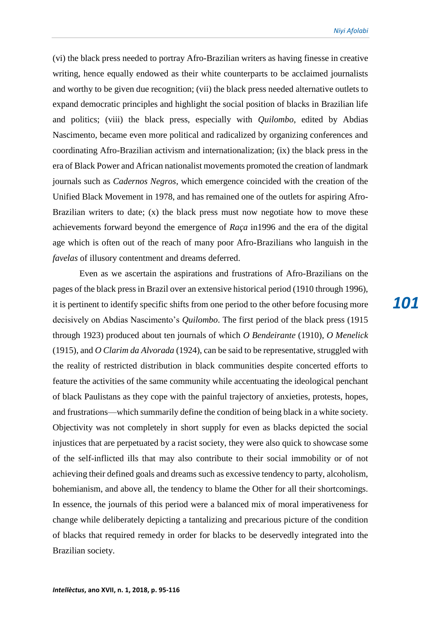(vi) the black press needed to portray Afro-Brazilian writers as having finesse in creative writing, hence equally endowed as their white counterparts to be acclaimed journalists and worthy to be given due recognition; (vii) the black press needed alternative outlets to expand democratic principles and highlight the social position of blacks in Brazilian life and politics; (viii) the black press, especially with *Quilombo*, edited by Abdias Nascimento, became even more political and radicalized by organizing conferences and coordinating Afro-Brazilian activism and internationalization; (ix) the black press in the era of Black Power and African nationalist movements promoted the creation of landmark journals such as *Cadernos Negros*, which emergence coincided with the creation of the Unified Black Movement in 1978, and has remained one of the outlets for aspiring Afro-Brazilian writers to date; (x) the black press must now negotiate how to move these achievements forward beyond the emergence of *Raça* in1996 and the era of the digital age which is often out of the reach of many poor Afro-Brazilians who languish in the *favelas* of illusory contentment and dreams deferred.

Even as we ascertain the aspirations and frustrations of Afro-Brazilians on the pages of the black press in Brazil over an extensive historical period (1910 through 1996), it is pertinent to identify specific shifts from one period to the other before focusing more decisively on Abdias Nascimento's *Quilombo*. The first period of the black press (1915 through 1923) produced about ten journals of which *O Bendeirante* (1910), *O Menelick* (1915), and *O Clarim da Alvorada* (1924), can be said to be representative, struggled with the reality of restricted distribution in black communities despite concerted efforts to feature the activities of the same community while accentuating the ideological penchant of black Paulistans as they cope with the painful trajectory of anxieties, protests, hopes, and frustrations—which summarily define the condition of being black in a white society. Objectivity was not completely in short supply for even as blacks depicted the social injustices that are perpetuated by a racist society, they were also quick to showcase some of the self-inflicted ills that may also contribute to their social immobility or of not achieving their defined goals and dreams such as excessive tendency to party, alcoholism, bohemianism, and above all, the tendency to blame the Other for all their shortcomings. In essence, the journals of this period were a balanced mix of moral imperativeness for change while deliberately depicting a tantalizing and precarious picture of the condition of blacks that required remedy in order for blacks to be deservedly integrated into the Brazilian society.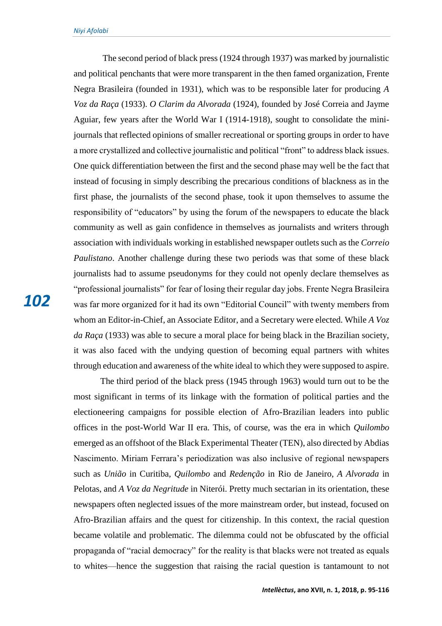The second period of black press (1924 through 1937) was marked by journalistic and political penchants that were more transparent in the then famed organization, Frente Negra Brasileira (founded in 1931), which was to be responsible later for producing *A Voz da Raça* (1933). *O Clarim da Alvorada* (1924), founded by José Correia and Jayme Aguiar, few years after the World War I (1914-1918), sought to consolidate the minijournals that reflected opinions of smaller recreational or sporting groups in order to have a more crystallized and collective journalistic and political "front" to address black issues. One quick differentiation between the first and the second phase may well be the fact that instead of focusing in simply describing the precarious conditions of blackness as in the first phase, the journalists of the second phase, took it upon themselves to assume the responsibility of "educators" by using the forum of the newspapers to educate the black community as well as gain confidence in themselves as journalists and writers through association with individuals working in established newspaper outlets such as the *Correio Paulistano*. Another challenge during these two periods was that some of these black journalists had to assume pseudonyms for they could not openly declare themselves as "professional journalists" for fear of losing their regular day jobs. Frente Negra Brasileira was far more organized for it had its own "Editorial Council" with twenty members from whom an Editor-in-Chief, an Associate Editor, and a Secretary were elected. While *A Voz da Raça* (1933) was able to secure a moral place for being black in the Brazilian society, it was also faced with the undying question of becoming equal partners with whites through education and awareness of the white ideal to which they were supposed to aspire.

The third period of the black press (1945 through 1963) would turn out to be the most significant in terms of its linkage with the formation of political parties and the electioneering campaigns for possible election of Afro-Brazilian leaders into public offices in the post-World War II era. This, of course, was the era in which *Quilombo*  emerged as an offshoot of the Black Experimental Theater (TEN), also directed by Abdias Nascimento. Miriam Ferrara's periodization was also inclusive of regional newspapers such as *União* in Curitiba, *Quilombo* and *Redenção* in Rio de Janeiro, *A Alvorada* in Pelotas, and *A Voz da Negritude* in Niterói. Pretty much sectarian in its orientation, these newspapers often neglected issues of the more mainstream order, but instead, focused on Afro-Brazilian affairs and the quest for citizenship. In this context, the racial question became volatile and problematic. The dilemma could not be obfuscated by the official propaganda of "racial democracy" for the reality is that blacks were not treated as equals to whites—hence the suggestion that raising the racial question is tantamount to not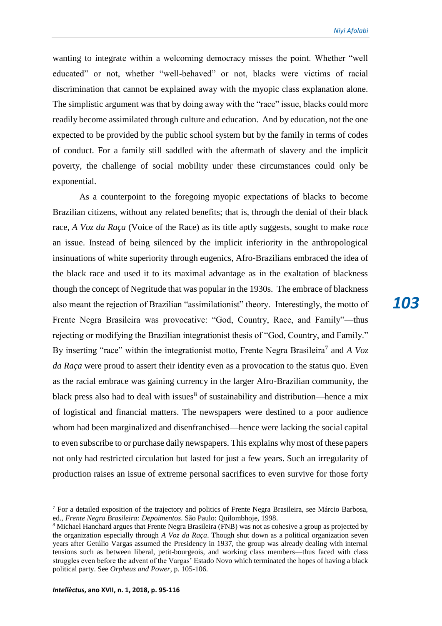*Niyi Afolabi*

wanting to integrate within a welcoming democracy misses the point. Whether "well educated" or not, whether "well-behaved" or not, blacks were victims of racial discrimination that cannot be explained away with the myopic class explanation alone. The simplistic argument was that by doing away with the "race" issue, blacks could more readily become assimilated through culture and education. And by education, not the one expected to be provided by the public school system but by the family in terms of codes of conduct. For a family still saddled with the aftermath of slavery and the implicit poverty, the challenge of social mobility under these circumstances could only be exponential.

As a counterpoint to the foregoing myopic expectations of blacks to become Brazilian citizens, without any related benefits; that is, through the denial of their black race, *A Voz da Raça* (Voice of the Race) as its title aptly suggests, sought to make *race* an issue. Instead of being silenced by the implicit inferiority in the anthropological insinuations of white superiority through eugenics, Afro-Brazilians embraced the idea of the black race and used it to its maximal advantage as in the exaltation of blackness though the concept of Negritude that was popular in the 1930s. The embrace of blackness also meant the rejection of Brazilian "assimilationist" theory. Interestingly, the motto of Frente Negra Brasileira was provocative: "God, Country, Race, and Family"—thus rejecting or modifying the Brazilian integrationist thesis of "God, Country, and Family." By inserting "race" within the integrationist motto, Frente Negra Brasileira<sup>7</sup> and A Voz *da Raça* were proud to assert their identity even as a provocation to the status quo. Even as the racial embrace was gaining currency in the larger Afro-Brazilian community, the black press also had to deal with issues<sup>8</sup> of sustainability and distribution—hence a mix of logistical and financial matters. The newspapers were destined to a poor audience whom had been marginalized and disenfranchised—hence were lacking the social capital to even subscribe to or purchase daily newspapers. This explains why most of these papers not only had restricted circulation but lasted for just a few years. Such an irregularity of production raises an issue of extreme personal sacrifices to even survive for those forty

 $<sup>7</sup>$  For a detailed exposition of the trajectory and politics of Frente Negra Brasileira, see Márcio Barbosa,</sup> ed., *Frente Negra Brasileira: Depoimentos*. São Paulo: Quilombhoje, 1998.

<sup>&</sup>lt;sup>8</sup> Michael Hanchard argues that Frente Negra Brasileira (FNB) was not as cohesive a group as projected by the organization especially through *A Voz da Raça*. Though shut down as a political organization seven years after Getúlio Vargas assumed the Presidency in 1937, the group was already dealing with internal tensions such as between liberal, petit-bourgeois, and working class members—thus faced with class struggles even before the advent of the Vargas' Estado Novo which terminated the hopes of having a black political party. See *Orpheus and Power*, p. 105-106.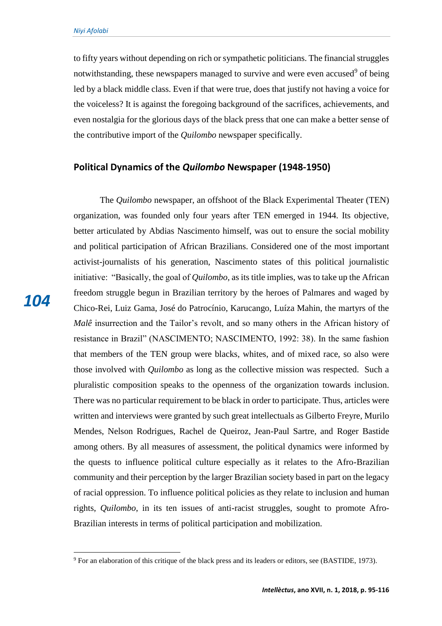to fifty years without depending on rich or sympathetic politicians. The financial struggles notwithstanding, these newspapers managed to survive and were even accused<sup>9</sup> of being led by a black middle class. Even if that were true, does that justify not having a voice for the voiceless? It is against the foregoing background of the sacrifices, achievements, and even nostalgia for the glorious days of the black press that one can make a better sense of the contributive import of the *Quilombo* newspaper specifically.

#### **Political Dynamics of the** *Quilombo* **Newspaper (1948-1950)**

The *Quilombo* newspaper, an offshoot of the Black Experimental Theater (TEN) organization, was founded only four years after TEN emerged in 1944. Its objective, better articulated by Abdias Nascimento himself, was out to ensure the social mobility and political participation of African Brazilians. Considered one of the most important activist-journalists of his generation, Nascimento states of this political journalistic initiative: "Basically, the goal of *Quilombo*, as its title implies, was to take up the African freedom struggle begun in Brazilian territory by the heroes of Palmares and waged by Chico-Rei, Luiz Gama, José do Patrocínio, Karucango, Luíza Mahin, the martyrs of the *Malê* insurrection and the Tailor's revolt, and so many others in the African history of resistance in Brazil" (NASCIMENTO; NASCIMENTO, 1992: 38). In the same fashion that members of the TEN group were blacks, whites, and of mixed race, so also were those involved with *Quilombo* as long as the collective mission was respected. Such a pluralistic composition speaks to the openness of the organization towards inclusion. There was no particular requirement to be black in order to participate. Thus, articles were written and interviews were granted by such great intellectuals as Gilberto Freyre, Murilo Mendes, Nelson Rodrigues, Rachel de Queiroz, Jean-Paul Sartre, and Roger Bastide among others. By all measures of assessment, the political dynamics were informed by the quests to influence political culture especially as it relates to the Afro-Brazilian community and their perception by the larger Brazilian society based in part on the legacy of racial oppression. To influence political policies as they relate to inclusion and human rights, *Quilombo*, in its ten issues of anti-racist struggles, sought to promote Afro-Brazilian interests in terms of political participation and mobilization.

 $\overline{a}$ 

*104*

<sup>9</sup> For an elaboration of this critique of the black press and its leaders or editors, see (BASTIDE, 1973).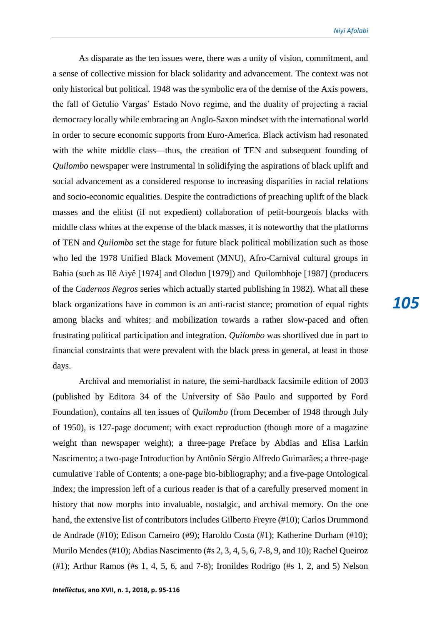As disparate as the ten issues were, there was a unity of vision, commitment, and a sense of collective mission for black solidarity and advancement. The context was not only historical but political. 1948 was the symbolic era of the demise of the Axis powers, the fall of Getulio Vargas' Estado Novo regime, and the duality of projecting a racial democracy locally while embracing an Anglo-Saxon mindset with the international world in order to secure economic supports from Euro-America. Black activism had resonated with the white middle class—thus, the creation of TEN and subsequent founding of *Quilombo* newspaper were instrumental in solidifying the aspirations of black uplift and social advancement as a considered response to increasing disparities in racial relations and socio-economic equalities. Despite the contradictions of preaching uplift of the black masses and the elitist (if not expedient) collaboration of petit-bourgeois blacks with middle class whites at the expense of the black masses, it is noteworthy that the platforms of TEN and *Quilombo* set the stage for future black political mobilization such as those who led the 1978 Unified Black Movement (MNU), Afro-Carnival cultural groups in Bahia (such as Ilê Aiyê [1974] and Olodun [1979]) and Quilombhoje [1987] (producers of the *Cadernos Negros* series which actually started publishing in 1982). What all these black organizations have in common is an anti-racist stance; promotion of equal rights among blacks and whites; and mobilization towards a rather slow-paced and often frustrating political participation and integration. *Quilombo* was shortlived due in part to financial constraints that were prevalent with the black press in general, at least in those days.

Archival and memorialist in nature, the semi-hardback facsimile edition of 2003 (published by Editora 34 of the University of São Paulo and supported by Ford Foundation), contains all ten issues of *Quilombo* (from December of 1948 through July of 1950), is 127-page document; with exact reproduction (though more of a magazine weight than newspaper weight); a three-page Preface by Abdias and Elisa Larkin Nascimento; a two-page Introduction by Antônio Sérgio Alfredo Guimarães; a three-page cumulative Table of Contents; a one-page bio-bibliography; and a five-page Ontological Index; the impression left of a curious reader is that of a carefully preserved moment in history that now morphs into invaluable, nostalgic, and archival memory. On the one hand, the extensive list of contributors includes Gilberto Freyre (#10); Carlos Drummond de Andrade (#10); Edison Carneiro (#9); Haroldo Costa (#1); Katherine Durham (#10); Murilo Mendes (#10); Abdias Nascimento (#s 2, 3, 4, 5, 6, 7-8, 9, and 10); Rachel Queiroz (#1); Arthur Ramos (#s 1, 4, 5, 6, and 7-8); Ironildes Rodrigo (#s 1, 2, and 5) Nelson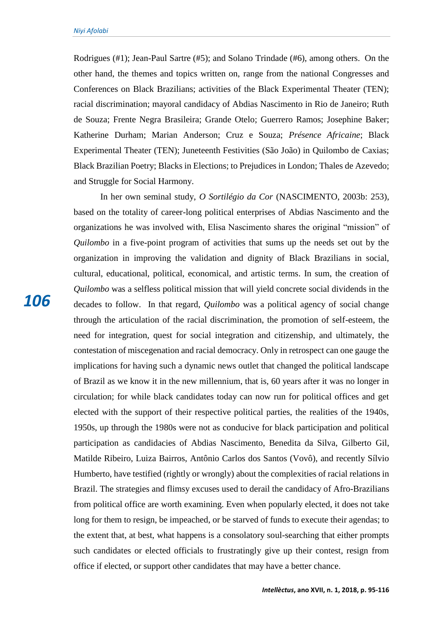Rodrigues (#1); Jean-Paul Sartre (#5); and Solano Trindade (#6), among others. On the other hand, the themes and topics written on, range from the national Congresses and Conferences on Black Brazilians; activities of the Black Experimental Theater (TEN); racial discrimination; mayoral candidacy of Abdias Nascimento in Rio de Janeiro; Ruth de Souza; Frente Negra Brasileira; Grande Otelo; Guerrero Ramos; Josephine Baker; Katherine Durham; Marian Anderson; Cruz e Souza; *Présence Africaine*; Black Experimental Theater (TEN); Juneteenth Festivities (São João) in Quilombo de Caxias; Black Brazilian Poetry; Blacks in Elections; to Prejudices in London; Thales de Azevedo; and Struggle for Social Harmony.

In her own seminal study, *O Sortilégio da Cor* (NASCIMENTO, 2003b: 253), based on the totality of career-long political enterprises of Abdias Nascimento and the organizations he was involved with, Elisa Nascimento shares the original "mission" of *Quilombo* in a five-point program of activities that sums up the needs set out by the organization in improving the validation and dignity of Black Brazilians in social, cultural, educational, political, economical, and artistic terms. In sum, the creation of *Quilombo* was a selfless political mission that will yield concrete social dividends in the decades to follow. In that regard, *Quilombo* was a political agency of social change through the articulation of the racial discrimination, the promotion of self-esteem, the need for integration, quest for social integration and citizenship, and ultimately, the contestation of miscegenation and racial democracy. Only in retrospect can one gauge the implications for having such a dynamic news outlet that changed the political landscape of Brazil as we know it in the new millennium, that is, 60 years after it was no longer in circulation; for while black candidates today can now run for political offices and get elected with the support of their respective political parties, the realities of the 1940s, 1950s, up through the 1980s were not as conducive for black participation and political participation as candidacies of Abdias Nascimento, Benedita da Silva, Gilberto Gil, Matilde Ribeiro, Luiza Bairros, Antônio Carlos dos Santos (Vovô), and recently Sílvio Humberto, have testified (rightly or wrongly) about the complexities of racial relations in Brazil. The strategies and flimsy excuses used to derail the candidacy of Afro-Brazilians from political office are worth examining. Even when popularly elected, it does not take long for them to resign, be impeached, or be starved of funds to execute their agendas; to the extent that, at best, what happens is a consolatory soul-searching that either prompts such candidates or elected officials to frustratingly give up their contest, resign from office if elected, or support other candidates that may have a better chance.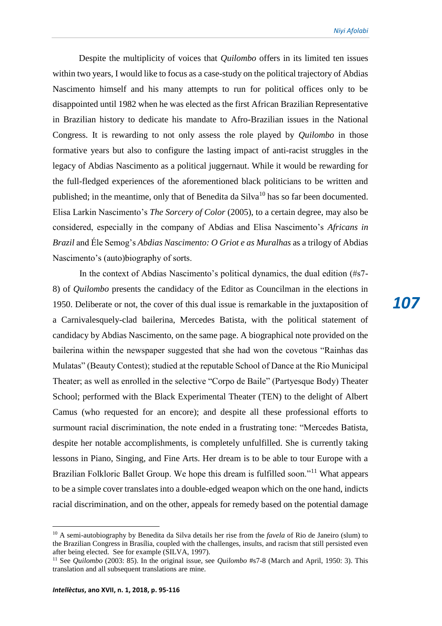*107*

Despite the multiplicity of voices that *Quilombo* offers in its limited ten issues within two years, I would like to focus as a case-study on the political trajectory of Abdias Nascimento himself and his many attempts to run for political offices only to be disappointed until 1982 when he was elected as the first African Brazilian Representative in Brazilian history to dedicate his mandate to Afro-Brazilian issues in the National Congress. It is rewarding to not only assess the role played by *Quilombo* in those formative years but also to configure the lasting impact of anti-racist struggles in the legacy of Abdias Nascimento as a political juggernaut. While it would be rewarding for the full-fledged experiences of the aforementioned black politicians to be written and published; in the meantime, only that of Benedita da Silva<sup>10</sup> has so far been documented. Elisa Larkin Nascimento's *The Sorcery of Color* (2005), to a certain degree, may also be considered, especially in the company of Abdias and Elisa Nascimento's *Africans in Brazil* and Éle Semog's *Abdias Nascimento: O Griot e as Muralhas* as a trilogy of Abdias Nascimento's (auto)biography of sorts.

In the context of Abdias Nascimento's political dynamics, the dual edition (#s7- 8) of *Quilombo* presents the candidacy of the Editor as Councilman in the elections in 1950. Deliberate or not, the cover of this dual issue is remarkable in the juxtaposition of a Carnivalesquely-clad bailerina, Mercedes Batista, with the political statement of candidacy by Abdias Nascimento, on the same page. A biographical note provided on the bailerina within the newspaper suggested that she had won the covetous "Rainhas das Mulatas" (Beauty Contest); studied at the reputable School of Dance at the Rio Municipal Theater; as well as enrolled in the selective "Corpo de Baile" (Partyesque Body) Theater School; performed with the Black Experimental Theater (TEN) to the delight of Albert Camus (who requested for an encore); and despite all these professional efforts to surmount racial discrimination, the note ended in a frustrating tone: "Mercedes Batista, despite her notable accomplishments, is completely unfulfilled. She is currently taking lessons in Piano, Singing, and Fine Arts. Her dream is to be able to tour Europe with a Brazilian Folkloric Ballet Group. We hope this dream is fulfilled soon."<sup>11</sup> What appears to be a simple cover translates into a double-edged weapon which on the one hand, indicts racial discrimination, and on the other, appeals for remedy based on the potential damage

<sup>&</sup>lt;sup>10</sup> A semi-autobiography by Benedita da Silva details her rise from the *favela* of Rio de Janeiro (slum) to the Brazilian Congress in Brasília, coupled with the challenges, insults, and racism that still persisted even after being elected. See for example (SILVA, 1997).

<sup>11</sup> See *Quilombo* (2003: 85). In the original issue, see *Quilombo* #s7-8 (March and April, 1950: 3). This translation and all subsequent translations are mine.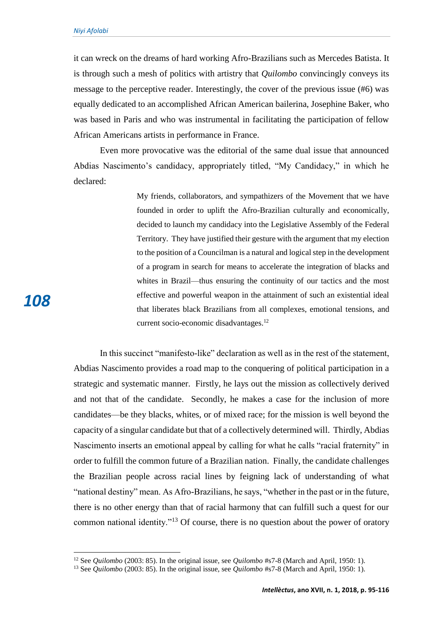*108*

 $\overline{a}$ 

it can wreck on the dreams of hard working Afro-Brazilians such as Mercedes Batista. It is through such a mesh of politics with artistry that *Quilombo* convincingly conveys its message to the perceptive reader. Interestingly, the cover of the previous issue (#6) was equally dedicated to an accomplished African American bailerina, Josephine Baker, who was based in Paris and who was instrumental in facilitating the participation of fellow African Americans artists in performance in France.

Even more provocative was the editorial of the same dual issue that announced Abdias Nascimento's candidacy, appropriately titled, "My Candidacy," in which he declared:

> My friends, collaborators, and sympathizers of the Movement that we have founded in order to uplift the Afro-Brazilian culturally and economically, decided to launch my candidacy into the Legislative Assembly of the Federal Territory. They have justified their gesture with the argument that my election to the position of a Councilman is a natural and logical step in the development of a program in search for means to accelerate the integration of blacks and whites in Brazil—thus ensuring the continuity of our tactics and the most effective and powerful weapon in the attainment of such an existential ideal that liberates black Brazilians from all complexes, emotional tensions, and current socio-economic disadvantages.<sup>12</sup>

In this succinct "manifesto-like" declaration as well as in the rest of the statement, Abdias Nascimento provides a road map to the conquering of political participation in a strategic and systematic manner. Firstly, he lays out the mission as collectively derived and not that of the candidate. Secondly, he makes a case for the inclusion of more candidates—be they blacks, whites, or of mixed race; for the mission is well beyond the capacity of a singular candidate but that of a collectively determined will. Thirdly, Abdias Nascimento inserts an emotional appeal by calling for what he calls "racial fraternity" in order to fulfill the common future of a Brazilian nation. Finally, the candidate challenges the Brazilian people across racial lines by feigning lack of understanding of what "national destiny" mean. As Afro-Brazilians, he says, "whether in the past or in the future, there is no other energy than that of racial harmony that can fulfill such a quest for our common national identity."<sup>13</sup> Of course, there is no question about the power of oratory

<sup>12</sup> See *Quilombo* (2003: 85). In the original issue, see *Quilombo* #s7-8 (March and April, 1950: 1).

<sup>13</sup> See *Quilombo* (2003: 85). In the original issue, see *Quilombo* #s7-8 (March and April, 1950: 1).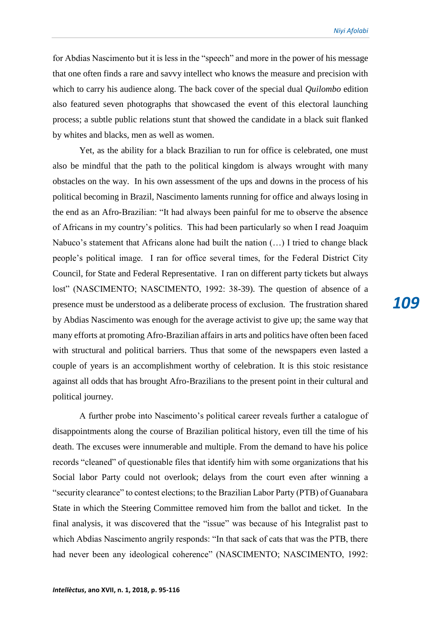for Abdias Nascimento but it is less in the "speech" and more in the power of his message that one often finds a rare and savvy intellect who knows the measure and precision with which to carry his audience along. The back cover of the special dual *Quilombo* edition also featured seven photographs that showcased the event of this electoral launching process; a subtle public relations stunt that showed the candidate in a black suit flanked by whites and blacks, men as well as women.

Yet, as the ability for a black Brazilian to run for office is celebrated, one must also be mindful that the path to the political kingdom is always wrought with many obstacles on the way. In his own assessment of the ups and downs in the process of his political becoming in Brazil, Nascimento laments running for office and always losing in the end as an Afro-Brazilian: "It had always been painful for me to observe the absence of Africans in my country's politics. This had been particularly so when I read Joaquim Nabuco's statement that Africans alone had built the nation (…) I tried to change black people's political image. I ran for office several times, for the Federal District City Council, for State and Federal Representative. I ran on different party tickets but always lost" (NASCIMENTO; NASCIMENTO, 1992: 38-39). The question of absence of a presence must be understood as a deliberate process of exclusion. The frustration shared by Abdias Nascimento was enough for the average activist to give up; the same way that many efforts at promoting Afro-Brazilian affairs in arts and politics have often been faced with structural and political barriers. Thus that some of the newspapers even lasted a couple of years is an accomplishment worthy of celebration. It is this stoic resistance against all odds that has brought Afro-Brazilians to the present point in their cultural and political journey.

A further probe into Nascimento's political career reveals further a catalogue of disappointments along the course of Brazilian political history, even till the time of his death. The excuses were innumerable and multiple. From the demand to have his police records "cleaned" of questionable files that identify him with some organizations that his Social labor Party could not overlook; delays from the court even after winning a "security clearance" to contest elections; to the Brazilian Labor Party (PTB) of Guanabara State in which the Steering Committee removed him from the ballot and ticket. In the final analysis, it was discovered that the "issue" was because of his Integralist past to which Abdias Nascimento angrily responds: "In that sack of cats that was the PTB, there had never been any ideological coherence" (NASCIMENTO; NASCIMENTO, 1992: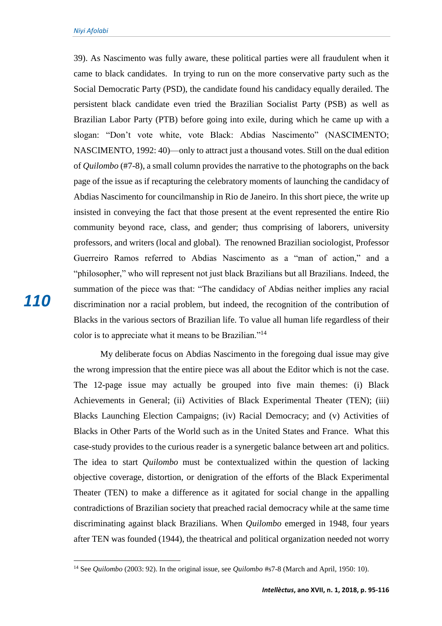39). As Nascimento was fully aware, these political parties were all fraudulent when it came to black candidates. In trying to run on the more conservative party such as the Social Democratic Party (PSD), the candidate found his candidacy equally derailed. The persistent black candidate even tried the Brazilian Socialist Party (PSB) as well as Brazilian Labor Party (PTB) before going into exile, during which he came up with a slogan: "Don't vote white, vote Black: Abdias Nascimento" (NASCIMENTO; NASCIMENTO, 1992: 40)—only to attract just a thousand votes. Still on the dual edition of *Quilombo* (#7-8), a small column provides the narrative to the photographs on the back page of the issue as if recapturing the celebratory moments of launching the candidacy of Abdias Nascimento for councilmanship in Rio de Janeiro. In this short piece, the write up insisted in conveying the fact that those present at the event represented the entire Rio community beyond race, class, and gender; thus comprising of laborers, university professors, and writers (local and global). The renowned Brazilian sociologist, Professor Guerreiro Ramos referred to Abdias Nascimento as a "man of action," and a "philosopher," who will represent not just black Brazilians but all Brazilians. Indeed, the summation of the piece was that: "The candidacy of Abdias neither implies any racial discrimination nor a racial problem, but indeed, the recognition of the contribution of Blacks in the various sectors of Brazilian life. To value all human life regardless of their color is to appreciate what it means to be Brazilian."<sup>14</sup>

My deliberate focus on Abdias Nascimento in the foregoing dual issue may give the wrong impression that the entire piece was all about the Editor which is not the case. The 12-page issue may actually be grouped into five main themes: (i) Black Achievements in General; (ii) Activities of Black Experimental Theater (TEN); (iii) Blacks Launching Election Campaigns; (iv) Racial Democracy; and (v) Activities of Blacks in Other Parts of the World such as in the United States and France. What this case-study provides to the curious reader is a synergetic balance between art and politics. The idea to start *Quilombo* must be contextualized within the question of lacking objective coverage, distortion, or denigration of the efforts of the Black Experimental Theater (TEN) to make a difference as it agitated for social change in the appalling contradictions of Brazilian society that preached racial democracy while at the same time discriminating against black Brazilians. When *Quilombo* emerged in 1948, four years after TEN was founded (1944), the theatrical and political organization needed not worry

<sup>14</sup> See *Quilombo* (2003: 92). In the original issue, see *Quilombo* #s7-8 (March and April, 1950: 10).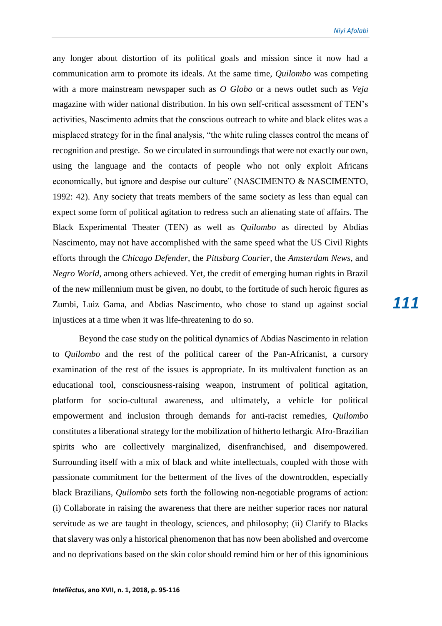*Niyi Afolabi*

any longer about distortion of its political goals and mission since it now had a communication arm to promote its ideals. At the same time, *Quilombo* was competing with a more mainstream newspaper such as *O Globo* or a news outlet such as *Veja* magazine with wider national distribution. In his own self-critical assessment of TEN's activities, Nascimento admits that the conscious outreach to white and black elites was a misplaced strategy for in the final analysis, "the white ruling classes control the means of recognition and prestige. So we circulated in surroundings that were not exactly our own, using the language and the contacts of people who not only exploit Africans economically, but ignore and despise our culture" (NASCIMENTO & NASCIMENTO, 1992: 42). Any society that treats members of the same society as less than equal can expect some form of political agitation to redress such an alienating state of affairs. The Black Experimental Theater (TEN) as well as *Quilombo* as directed by Abdias Nascimento, may not have accomplished with the same speed what the US Civil Rights efforts through the *Chicago Defender*, the *Pittsburg Courier*, the *Amsterdam News*, and *Negro World*, among others achieved. Yet, the credit of emerging human rights in Brazil of the new millennium must be given, no doubt, to the fortitude of such heroic figures as Zumbi, Luiz Gama, and Abdias Nascimento, who chose to stand up against social injustices at a time when it was life-threatening to do so.

Beyond the case study on the political dynamics of Abdias Nascimento in relation to *Quilombo* and the rest of the political career of the Pan-Africanist, a cursory examination of the rest of the issues is appropriate. In its multivalent function as an educational tool, consciousness-raising weapon, instrument of political agitation, platform for socio-cultural awareness, and ultimately, a vehicle for political empowerment and inclusion through demands for anti-racist remedies, *Quilombo* constitutes a liberational strategy for the mobilization of hitherto lethargic Afro-Brazilian spirits who are collectively marginalized, disenfranchised, and disempowered. Surrounding itself with a mix of black and white intellectuals, coupled with those with passionate commitment for the betterment of the lives of the downtrodden, especially black Brazilians, *Quilombo* sets forth the following non-negotiable programs of action: (i) Collaborate in raising the awareness that there are neither superior races nor natural servitude as we are taught in theology, sciences, and philosophy; (ii) Clarify to Blacks that slavery was only a historical phenomenon that has now been abolished and overcome and no deprivations based on the skin color should remind him or her of this ignominious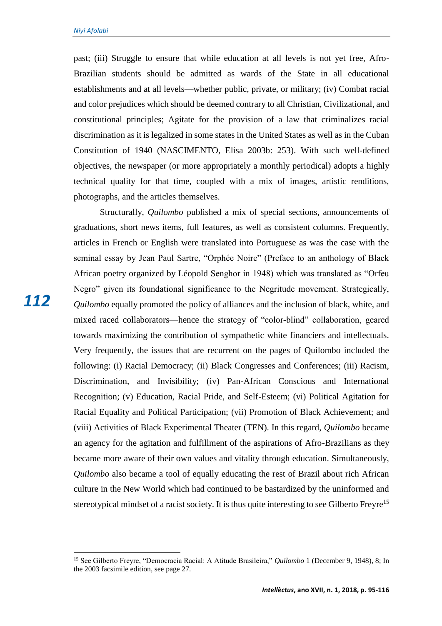past; (iii) Struggle to ensure that while education at all levels is not yet free, Afro-Brazilian students should be admitted as wards of the State in all educational establishments and at all levels—whether public, private, or military; (iv) Combat racial and color prejudices which should be deemed contrary to all Christian, Civilizational, and constitutional principles; Agitate for the provision of a law that criminalizes racial discrimination as it is legalized in some states in the United States as well as in the Cuban Constitution of 1940 (NASCIMENTO, Elisa 2003b: 253). With such well-defined objectives, the newspaper (or more appropriately a monthly periodical) adopts a highly technical quality for that time, coupled with a mix of images, artistic renditions, photographs, and the articles themselves.

Structurally, *Quilombo* published a mix of special sections, announcements of graduations, short news items, full features, as well as consistent columns. Frequently, articles in French or English were translated into Portuguese as was the case with the seminal essay by Jean Paul Sartre, "Orphée Noire" (Preface to an anthology of Black African poetry organized by Léopold Senghor in 1948) which was translated as "Orfeu Negro" given its foundational significance to the Negritude movement. Strategically, *Quilombo* equally promoted the policy of alliances and the inclusion of black, white, and mixed raced collaborators—hence the strategy of "color-blind" collaboration, geared towards maximizing the contribution of sympathetic white financiers and intellectuals. Very frequently, the issues that are recurrent on the pages of Quilombo included the following: (i) Racial Democracy; (ii) Black Congresses and Conferences; (iii) Racism, Discrimination, and Invisibility; (iv) Pan-African Conscious and International Recognition; (v) Education, Racial Pride, and Self-Esteem; (vi) Political Agitation for Racial Equality and Political Participation; (vii) Promotion of Black Achievement; and (viii) Activities of Black Experimental Theater (TEN). In this regard, *Quilombo* became an agency for the agitation and fulfillment of the aspirations of Afro-Brazilians as they became more aware of their own values and vitality through education. Simultaneously, *Quilombo* also became a tool of equally educating the rest of Brazil about rich African culture in the New World which had continued to be bastardized by the uninformed and stereotypical mindset of a racist society. It is thus quite interesting to see Gilberto Freyre<sup>15</sup>

*112*

<sup>15</sup> See Gilberto Freyre, "Democracia Racial: A Atitude Brasileira," *Quilombo* 1 (December 9, 1948), 8; In the 2003 facsimile edition, see page 27.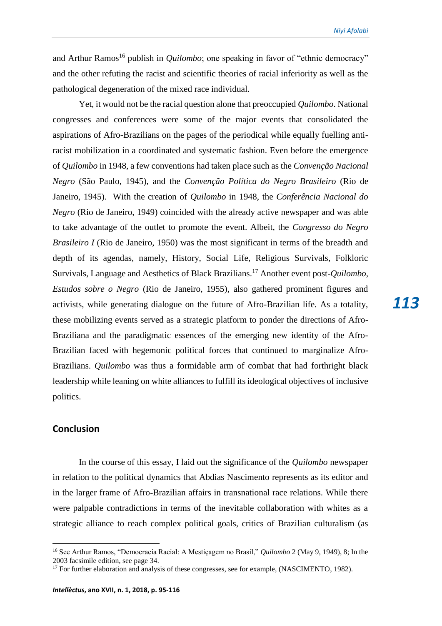and Arthur Ramos<sup>16</sup> publish in *Quilombo*; one speaking in favor of "ethnic democracy" and the other refuting the racist and scientific theories of racial inferiority as well as the pathological degeneration of the mixed race individual.

Yet, it would not be the racial question alone that preoccupied *Quilombo*. National congresses and conferences were some of the major events that consolidated the aspirations of Afro-Brazilians on the pages of the periodical while equally fuelling antiracist mobilization in a coordinated and systematic fashion. Even before the emergence of *Quilombo* in 1948, a few conventions had taken place such as the *Convenção Nacional Negro* (São Paulo, 1945), and the *Convenção Política do Negro Brasileiro* (Rio de Janeiro, 1945). With the creation of *Quilombo* in 1948, the *Conferência Nacional do Negro* (Rio de Janeiro, 1949) coincided with the already active newspaper and was able to take advantage of the outlet to promote the event. Albeit, the *Congresso do Negro Brasileiro I* (Rio de Janeiro, 1950) was the most significant in terms of the breadth and depth of its agendas, namely, History, Social Life, Religious Survivals, Folkloric Survivals, Language and Aesthetics of Black Brazilians.<sup>17</sup> Another event post-*Quilombo*, *Estudos sobre o Negro* (Rio de Janeiro, 1955), also gathered prominent figures and activists, while generating dialogue on the future of Afro-Brazilian life. As a totality, these mobilizing events served as a strategic platform to ponder the directions of Afro-Braziliana and the paradigmatic essences of the emerging new identity of the Afro-Brazilian faced with hegemonic political forces that continued to marginalize Afro-Brazilians. *Quilombo* was thus a formidable arm of combat that had forthright black leadership while leaning on white alliances to fulfill its ideological objectives of inclusive politics.

## **Conclusion**

 $\overline{a}$ 

In the course of this essay, I laid out the significance of the *Quilombo* newspaper in relation to the political dynamics that Abdias Nascimento represents as its editor and in the larger frame of Afro-Brazilian affairs in transnational race relations. While there were palpable contradictions in terms of the inevitable collaboration with whites as a strategic alliance to reach complex political goals, critics of Brazilian culturalism (as

<sup>16</sup> See Arthur Ramos, "Democracia Racial: A Mestiçagem no Brasil," *Quilombo* 2 (May 9, 1949), 8; In the 2003 facsimile edition, see page 34.

<sup>&</sup>lt;sup>17</sup> For further elaboration and analysis of these congresses, see for example, (NASCIMENTO, 1982).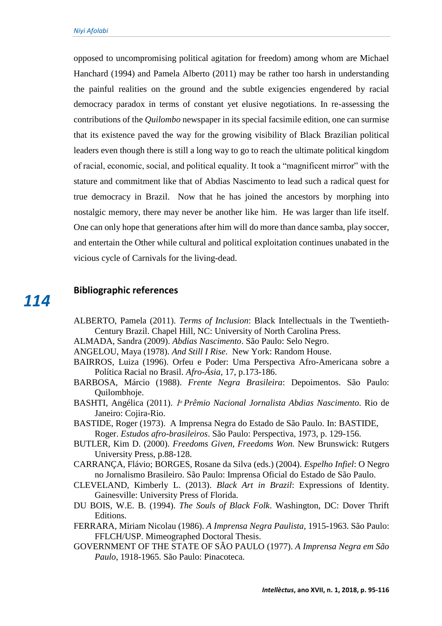opposed to uncompromising political agitation for freedom) among whom are Michael Hanchard (1994) and Pamela Alberto (2011) may be rather too harsh in understanding the painful realities on the ground and the subtle exigencies engendered by racial democracy paradox in terms of constant yet elusive negotiations. In re-assessing the contributions of the *Quilombo* newspaper in its special facsimile edition, one can surmise that its existence paved the way for the growing visibility of Black Brazilian political leaders even though there is still a long way to go to reach the ultimate political kingdom of racial, economic, social, and political equality. It took a "magnificent mirror" with the stature and commitment like that of Abdias Nascimento to lead such a radical quest for true democracy in Brazil. Now that he has joined the ancestors by morphing into nostalgic memory, there may never be another like him. He was larger than life itself. One can only hope that generations after him will do more than dance samba, play soccer, and entertain the Other while cultural and political exploitation continues unabated in the vicious cycle of Carnivals for the living-dead.

# **Bibliographic references**

*114*

- ALBERTO, Pamela (2011). *Terms of Inclusion*: Black Intellectuals in the Twentieth-Century Brazil. Chapel Hill, NC: University of North Carolina Press.
- ALMADA, Sandra (2009). *Abdias Nascimento*. São Paulo: Selo Negro.
- ANGELOU, Maya (1978). *And Still I Rise*. New York: Random House.
- BAIRROS, Luiza (1996). Orfeu e Poder: Uma Perspectiva Afro-Americana sobre a Política Racial no Brasil. *Afro-Ásia*, 17, p.173-186.
- BARBOSA, Márcio (1988). *Frente Negra Brasileira*: Depoimentos. São Paulo: Quilombhoje.
- BASHTI, Angélica (2011). *1ͦPrêmio Nacional Jornalista Abdias Nascimento*. Rio de Janeiro: Cojira-Rio.
- BASTIDE, Roger (1973). A Imprensa Negra do Estado de São Paulo. In: BASTIDE, Roger. *Estudos afro-brasileiros*. São Paulo: Perspectiva, 1973, p. 129-156.
- BUTLER, Kim D. (2000). *Freedoms Given, Freedoms Won.* New Brunswick: Rutgers University Press, p.88-128.
- CARRANÇA, Flávio; BORGES, Rosane da Silva (eds.) (2004). *Espelho Infiel*: O Negro no Jornalismo Brasileiro. São Paulo: Imprensa Oficial do Estado de São Paulo.
- CLEVELAND, Kimberly L. (2013). *Black Art in Brazil*: Expressions of Identity. Gainesville: University Press of Florida.
- DU BOIS, W.E. B. (1994). *The Souls of Black Folk*. Washington, DC: Dover Thrift Editions.
- FERRARA, Miriam Nicolau (1986). *A Imprensa Negra Paulista*, 1915-1963. São Paulo: FFLCH/USP. Mimeographed Doctoral Thesis.
- GOVERNMENT OF THE STATE OF SÃO PAULO (1977). *A Imprensa Negra em São Paulo*, 1918-1965. São Paulo: Pinacoteca.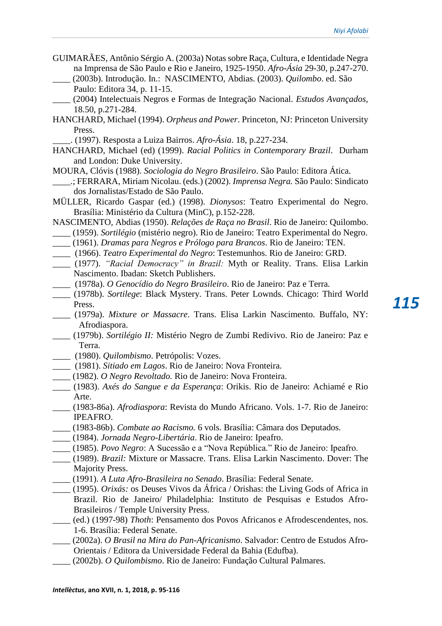- GUIMARÃES, Antônio Sérgio A. (2003a) Notas sobre Raça, Cultura, e Identidade Negra na Imprensa de São Paulo e Rio e Janeiro, 1925-1950. *Afro-Ásia* 29-30, p.247-270.
- \_\_\_\_ (2003b). Introdução. In.: NASCIMENTO, Abdias. (2003). *Quilombo*. ed. São Paulo: Editora 34, p. 11-15.
- \_\_\_\_ (2004) Intelectuais Negros e Formas de Integração Nacional. *Estudos Avançados*, 18.50, p.271-284.
- HANCHARD, Michael (1994). *Orpheus and Power*. Princeton, NJ: Princeton University Press.

\_\_\_\_. (1997). Resposta a Luiza Bairros. *Afro-Ásia*. 18, p.227-234.

HANCHARD, Michael (ed) (1999). *Racial Politics in Contemporary Brazil*. Durham and London: Duke University.

MOURA, Clóvis (1988). *Sociologia do Negro Brasileiro*. São Paulo: Editora Ática.

- \_\_\_\_.; FERRARA, Miriam Nicolau. (eds.) (2002). *Imprensa Negra.* São Paulo: Sindicato dos Jornalistas/Estado de São Paulo.
- MÜLLER, Ricardo Gaspar (ed.) (1998). *Dionysos*: Teatro Experimental do Negro. Brasília: Ministério da Cultura (MinC), p.152-228.
- NASCIMENTO, Abdias (1950). *Relações de Raça no Brasil*. Rio de Janeiro: Quilombo. \_\_\_\_ (1959). *Sortilégio* (mistério negro). Rio de Janeiro: Teatro Experimental do Negro.
- \_\_\_\_ (1961). *Dramas para Negros e Prólogo para Brancos*. Rio de Janeiro: TEN.
- \_\_\_\_ (1966). *Teatro Experimental do Negro*: Testemunhos. Rio de Janeiro: GRD.
- \_\_\_\_ (1977). *"Racial Democracy" in Brazil:* Myth or Reality. Trans. Elisa Larkin Nascimento. Ibadan: Sketch Publishers.
- \_\_\_\_ (1978a). *O Genocídio do Negro Brasileiro*. Rio de Janeiro: Paz e Terra.
- \_\_\_\_ (1978b). *Sortilege*: Black Mystery. Trans. Peter Lownds. Chicago: Third World Press.
- \_\_\_\_ (1979a). *Mixture or Massacre*. Trans. Elisa Larkin Nascimento. Buffalo, NY: Afrodiaspora.
- \_\_\_\_ (1979b). *Sortilégio II:* Mistério Negro de Zumbi Redivivo. Rio de Janeiro: Paz e Terra.
- \_\_\_\_ (1980). *Quilombismo*. Petrópolis: Vozes.
- \_\_\_\_ (1981). *Sitiado em Lagos*. Rio de Janeiro: Nova Fronteira.
- \_\_\_\_ (1982). *O Negro Revoltado.* Rio de Janeiro: Nova Fronteira.
- \_\_\_\_ (1983). *Axés do Sangue e da Esperança*: Orikis. Rio de Janeiro: Achiamé e Rio Arte.
- \_\_\_\_ (1983-86a). *Afrodiaspora*: Revista do Mundo Africano. Vols. 1-7. Rio de Janeiro: IPEAFRO.
- \_\_\_\_ (1983-86b). *Combate ao Racismo.* 6 vols. Brasília: Câmara dos Deputados.
- \_\_\_\_ (1984). *Jornada Negro-Libertária*. Rio de Janeiro: Ipeafro.
- \_\_\_\_ (1985). *Povo Negro*: A Sucessão e a "Nova República." Rio de Janeiro: Ipeafro.
- \_\_\_\_ (1989). *Brazil:* Mixture or Massacre. Trans. Elisa Larkin Nascimento. Dover: The Majority Press.
- \_\_\_\_ (1991). *A Luta Afro-Brasileira no Senado*. Brasília: Federal Senate.
- \_\_\_\_ (1995). *Orixás:* os Deuses Vivos da África / Orishas: the Living Gods of Africa in Brazil. Rio de Janeiro/ Philadelphia: Instituto de Pesquisas e Estudos Afro-Brasileiros / Temple University Press.
- \_\_\_\_ (ed.) (1997-98) *Thoth*: Pensamento dos Povos Africanos e Afrodescendentes, nos. 1-6. Brasília: Federal Senate.
- \_\_\_\_ (2002a). *O Brasil na Mira do Pan-Africanismo*. Salvador: Centro de Estudos Afro-Orientais / Editora da Universidade Federal da Bahia (Edufba).
- \_\_\_\_ (2002b). *O Quilombismo*. Rio de Janeiro: Fundação Cultural Palmares.

*115*